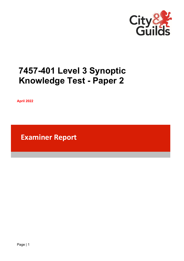

# **7457-401 Level 3 Synoptic Knowledge Test - Paper 2**

**April 2022**

**Examiner Report**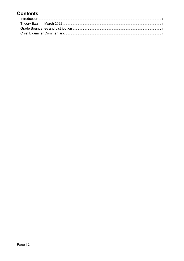# **Contents**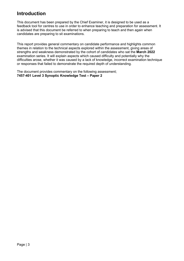## <span id="page-2-0"></span>**Introduction**

This document has been prepared by the Chief Examiner, it is designed to be used as a feedback tool for centres to use in order to enhance teaching and preparation for assessment. It is advised that this document be referred to when preparing to teach and then again when candidates are preparing to sit examinations.

This report provides general commentary on candidate performance and highlights common themes in relation to the technical aspects explored within the assessment, giving areas of strengths and weakness demonstrated by the cohort of candidates who sat the **March 2022** examination series. It will explain aspects which caused difficulty and potentially why the difficulties arose, whether it was caused by a lack of knowledge, incorrect examination technique or responses that failed to demonstrate the required depth of understanding.

The document provides commentary on the following assessment; **7457-401 Level 3 Synoptic Knowledge Test – Paper 2**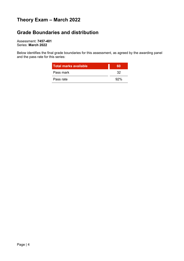# <span id="page-3-0"></span>**Theory Exam – March 2022**

## <span id="page-3-1"></span>**Grade Boundaries and distribution**

Assessment: **7457-401** Series: **March 2022**

Below identifies the final grade boundaries for this assessment, as agreed by the awarding panel and the pass rate for this series:

| <b>Total marks available</b> |     |
|------------------------------|-----|
| Pass mark                    | 32  |
| Pass rate                    | 92% |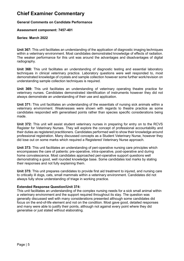### <span id="page-4-0"></span>**Chief Examiner Commentary**

#### **General Comments on Candidate Performance**

#### **Assessment component: 7457-401**

#### **Series: March 2022**

**Unit 367:** This unit facilitates an understanding of the application of diagnostic imaging techniques within a veterinary environment. Most candidates demonstrated knowledge of effects of radiation. The weaker performance for this unit was around the advantages and disadvantages of digital radiography.

**Unit 368:** This unit facilitates an understanding of diagnostic testing and essential laboratory techniques in clinical veterinary practice. Laboratory questions were well responded to, most demonstrated knowledge of crystals and sample collection however some further work/revision on understanding sample collection techniques is required.

**Unit 369:** This unit facilitates an understanding of veterinary operating theatre practice for veterinary nurses. Candidates demonstrated identification of instruments however they did not always demonstrate an understanding of their use and application.

**Unit 371:** This unit facilitates an understanding of the essentials of nursing sick animals within a veterinary environment. Weaknesses were shown with regards to theatre practice as some candidates responded with generalised points rather than species specific considerations being made.

**Unit 372:** This unit will assist student veterinary nurses in preparing for entry on to the RCVS Register for Veterinary Nurses. They will explore the concept of professional accountability and their duties as registered practitioners. Candidates performed well to show their knowledge around professional registration. Many discussed concepts as a Student Veterinary Nurse, however they did lose out on some marks which required a Registered Veterinary Nurse approach.

**Unit 373:** This unit facilitates an understanding of peri-operative nursing care principles which encompasses the care of patients: pre-operative, intra-operative, post-operative and during home convalescence. Most candidates approached peri-operative support questions well demonstrating a good, well rounded knowledge base. Some candidates lost marks by stating their responses and not fully explaining them.

**Unit 375:** This unit prepares candidates to provide first aid treatment to injured, and nursing care to critically ill dogs, cats, small mammals within a veterinary environment. Candidates did not always fully show understanding of triage in working practice.

#### **Extended Response Question/Unit 374:**

This unit facilitates an understanding of the complex nursing needs for a sick small animal within a veterinary environment and the support required throughout its stay. The question was generally discussed well with many considerations presented although some candidates did focus on the end-of-life element and not on the condition. Most gave good, detailed responses and many were able to justify their points, although not against every point where they did generalise or just stated without elaborating.